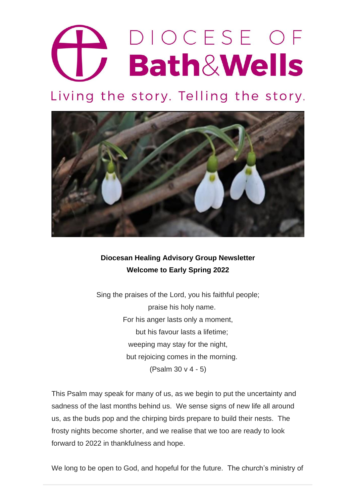# DIOCESE OF **Bath&Wells**

Living the story. Telling the story.



## **Diocesan Healing Advisory Group Newsletter Welcome to Early Spring 2022**

Sing the praises of the Lord, you his faithful people; praise his holy name. For his anger lasts only a moment, but his favour lasts a lifetime; weeping may stay for the night, but rejoicing comes in the morning. (Psalm 30 v 4 - 5)

This Psalm may speak for many of us, as we begin to put the uncertainty and sadness of the last months behind us. We sense signs of new life all around us, as the buds pop and the chirping birds prepare to build their nests. The frosty nights become shorter, and we realise that we too are ready to look forward to 2022 in thankfulness and hope.

We long to be open to God, and hopeful for the future. The church's ministry of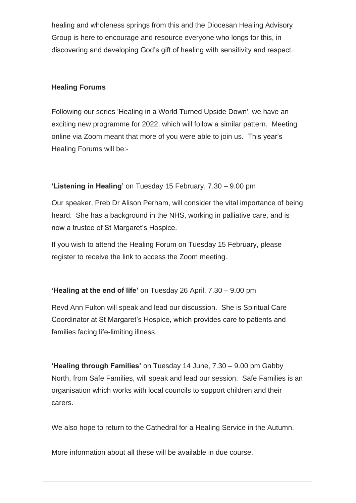healing and wholeness springs from this and the Diocesan Healing Advisory Group is here to encourage and resource everyone who longs for this, in discovering and developing God's gift of healing with sensitivity and respect.

#### **Healing Forums**

Following our series 'Healing in a World Turned Upside Down', we have an exciting new programme for 2022, which will follow a similar pattern. Meeting online via Zoom meant that more of you were able to join us. This year's Healing Forums will be:-

### **'Listening in Healing'** on Tuesday 15 February, 7.30 – 9.00 pm

Our speaker, Preb Dr Alison Perham, will consider the vital importance of being heard. She has a background in the NHS, working in palliative care, and is now a trustee of St Margaret's Hospice.

If you wish to attend the Healing Forum on Tuesday 15 February, please register to receive the link to access the Zoom meeting.

#### **'Healing at the end of life'** on Tuesday 26 April, 7.30 – 9.00 pm

Revd Ann Fulton will speak and lead our discussion. She is Spiritual Care Coordinator at St Margaret's Hospice, which provides care to patients and families facing life-limiting illness.

**'Healing through Families'** on Tuesday 14 June, 7.30 – 9.00 pm Gabby North, from Safe Families, will speak and lead our session. Safe Families is an organisation which works with local councils to support children and their carers.

We also hope to return to the Cathedral for a Healing Service in the Autumn.

More information about all these will be available in due course.